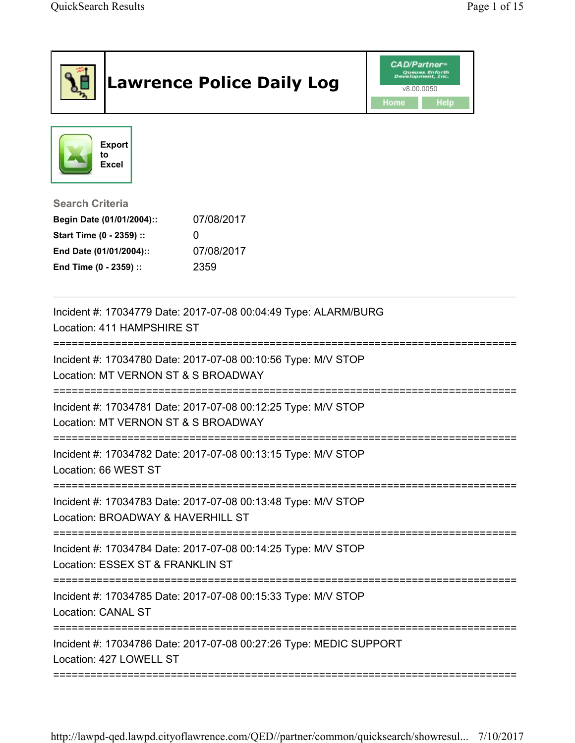|                                                                                                                                      | <b>Lawrence Police Daily Log</b>                                   | <b>CAD/Partner</b> <sup>*</sup><br>refopment, Inc<br>v8.00.0050<br>Home<br>Help |
|--------------------------------------------------------------------------------------------------------------------------------------|--------------------------------------------------------------------|---------------------------------------------------------------------------------|
| <b>Export</b><br>to<br><b>Excel</b>                                                                                                  |                                                                    |                                                                                 |
| <b>Search Criteria</b><br>Begin Date (01/01/2004)::<br>Start Time (0 - 2359) ::<br>End Date (01/01/2004)::<br>End Time (0 - 2359) :: | 07/08/2017<br>0<br>07/08/2017<br>2359                              |                                                                                 |
| Location: 411 HAMPSHIRE ST                                                                                                           | Incident #: 17034779 Date: 2017-07-08 00:04:49 Type: ALARM/BURG    |                                                                                 |
| Location: MT VERNON ST & S BROADWAY                                                                                                  | Incident #: 17034780 Date: 2017-07-08 00:10:56 Type: M/V STOP      |                                                                                 |
| Location: MT VERNON ST & S BROADWAY                                                                                                  | Incident #: 17034781 Date: 2017-07-08 00:12:25 Type: M/V STOP      |                                                                                 |
| Location: 66 WEST ST                                                                                                                 | Incident #: 17034782 Date: 2017-07-08 00:13:15 Type: M/V STOP      |                                                                                 |
| Location: BROADWAY & HAVERHILL ST                                                                                                    | Incident #: 17034783 Date: 2017-07-08 00:13:48 Type: M/V STOP      | ============                                                                    |
| Location: ESSEX ST & FRANKLIN ST                                                                                                     | Incident #: 17034784 Date: 2017-07-08 00:14:25 Type: M/V STOP      |                                                                                 |
| ------------------------------------<br>Location: CANAL ST                                                                           | Incident #: 17034785 Date: 2017-07-08 00:15:33 Type: M/V STOP      |                                                                                 |
| Location: 427 LOWELL ST                                                                                                              | Incident #: 17034786 Date: 2017-07-08 00:27:26 Type: MEDIC SUPPORT |                                                                                 |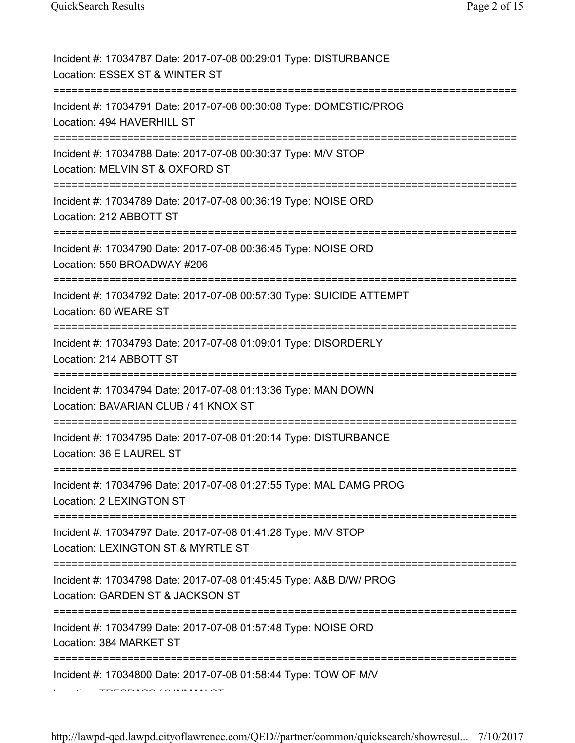| Incident #: 17034787 Date: 2017-07-08 00:29:01 Type: DISTURBANCE<br>Location: ESSEX ST & WINTER ST                                                   |
|------------------------------------------------------------------------------------------------------------------------------------------------------|
| Incident #: 17034791 Date: 2017-07-08 00:30:08 Type: DOMESTIC/PROG<br>Location: 494 HAVERHILL ST                                                     |
| Incident #: 17034788 Date: 2017-07-08 00:30:37 Type: M/V STOP<br>Location: MELVIN ST & OXFORD ST<br>======================================           |
| Incident #: 17034789 Date: 2017-07-08 00:36:19 Type: NOISE ORD<br>Location: 212 ABBOTT ST                                                            |
| Incident #: 17034790 Date: 2017-07-08 00:36:45 Type: NOISE ORD<br>Location: 550 BROADWAY #206                                                        |
| Incident #: 17034792 Date: 2017-07-08 00:57:30 Type: SUICIDE ATTEMPT<br>Location: 60 WEARE ST                                                        |
| Incident #: 17034793 Date: 2017-07-08 01:09:01 Type: DISORDERLY<br>Location: 214 ABBOTT ST                                                           |
| Incident #: 17034794 Date: 2017-07-08 01:13:36 Type: MAN DOWN<br>Location: BAVARIAN CLUB / 41 KNOX ST                                                |
| Incident #: 17034795 Date: 2017-07-08 01:20:14 Type: DISTURBANCE<br>Location: 36 E LAUREL ST                                                         |
| Incident #: 17034796 Date: 2017-07-08 01:27:55 Type: MAL DAMG PROG<br>Location: 2 LEXINGTON ST                                                       |
| Incident #: 17034797 Date: 2017-07-08 01:41:28 Type: M/V STOP<br>Location: LEXINGTON ST & MYRTLE ST<br>=========================<br>================ |
| Incident #: 17034798 Date: 2017-07-08 01:45:45 Type: A&B D/W/ PROG<br>Location: GARDEN ST & JACKSON ST                                               |
| Incident #: 17034799 Date: 2017-07-08 01:57:48 Type: NOISE ORD<br>Location: 384 MARKET ST                                                            |
| Incident #: 17034800 Date: 2017-07-08 01:58:44 Type: TOW OF M/V                                                                                      |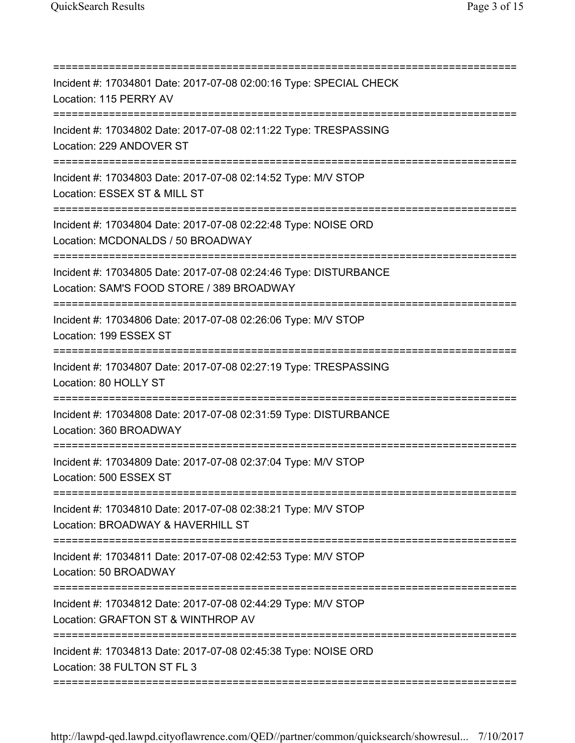| Incident #: 17034801 Date: 2017-07-08 02:00:16 Type: SPECIAL CHECK<br>Location: 115 PERRY AV                                                    |
|-------------------------------------------------------------------------------------------------------------------------------------------------|
| Incident #: 17034802 Date: 2017-07-08 02:11:22 Type: TRESPASSING<br>Location: 229 ANDOVER ST                                                    |
| Incident #: 17034803 Date: 2017-07-08 02:14:52 Type: M/V STOP<br>Location: ESSEX ST & MILL ST                                                   |
| Incident #: 17034804 Date: 2017-07-08 02:22:48 Type: NOISE ORD<br>Location: MCDONALDS / 50 BROADWAY                                             |
| Incident #: 17034805 Date: 2017-07-08 02:24:46 Type: DISTURBANCE<br>Location: SAM'S FOOD STORE / 389 BROADWAY<br>------------------------------ |
| Incident #: 17034806 Date: 2017-07-08 02:26:06 Type: M/V STOP<br>Location: 199 ESSEX ST                                                         |
| Incident #: 17034807 Date: 2017-07-08 02:27:19 Type: TRESPASSING<br>Location: 80 HOLLY ST                                                       |
| Incident #: 17034808 Date: 2017-07-08 02:31:59 Type: DISTURBANCE<br>Location: 360 BROADWAY                                                      |
| Incident #: 17034809 Date: 2017-07-08 02:37:04 Type: M/V STOP<br>Location: 500 ESSEX ST                                                         |
| :=======================<br>Incident #: 17034810 Date: 2017-07-08 02:38:21 Type: M/V STOP<br>Location: BROADWAY & HAVERHILL ST                  |
| Incident #: 17034811 Date: 2017-07-08 02:42:53 Type: M/V STOP<br>Location: 50 BROADWAY                                                          |
| Incident #: 17034812 Date: 2017-07-08 02:44:29 Type: M/V STOP<br>Location: GRAFTON ST & WINTHROP AV                                             |
| ==========================<br>Incident #: 17034813 Date: 2017-07-08 02:45:38 Type: NOISE ORD<br>Location: 38 FULTON ST FL 3                     |
|                                                                                                                                                 |

http://lawpd-qed.lawpd.cityoflawrence.com/QED//partner/common/quicksearch/showresul... 7/10/2017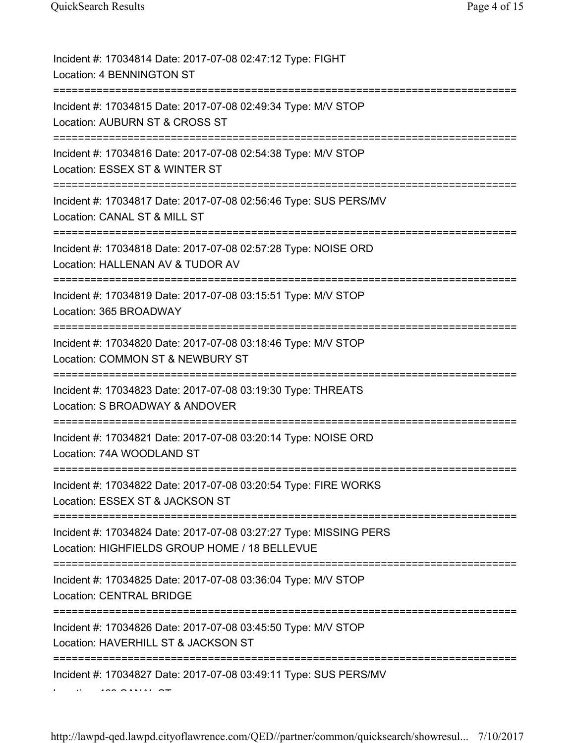| Incident #: 17034814 Date: 2017-07-08 02:47:12 Type: FIGHT<br>Location: 4 BENNINGTON ST                                                    |
|--------------------------------------------------------------------------------------------------------------------------------------------|
| Incident #: 17034815 Date: 2017-07-08 02:49:34 Type: M/V STOP<br>Location: AUBURN ST & CROSS ST<br>===========================             |
| Incident #: 17034816 Date: 2017-07-08 02:54:38 Type: M/V STOP<br>Location: ESSEX ST & WINTER ST<br>=====================================   |
| Incident #: 17034817 Date: 2017-07-08 02:56:46 Type: SUS PERS/MV<br>Location: CANAL ST & MILL ST                                           |
| Incident #: 17034818 Date: 2017-07-08 02:57:28 Type: NOISE ORD<br>Location: HALLENAN AV & TUDOR AV                                         |
| Incident #: 17034819 Date: 2017-07-08 03:15:51 Type: M/V STOP<br>Location: 365 BROADWAY                                                    |
| Incident #: 17034820 Date: 2017-07-08 03:18:46 Type: M/V STOP<br>Location: COMMON ST & NEWBURY ST                                          |
| Incident #: 17034823 Date: 2017-07-08 03:19:30 Type: THREATS<br>Location: S BROADWAY & ANDOVER<br>==========================               |
| Incident #: 17034821 Date: 2017-07-08 03:20:14 Type: NOISE ORD<br>Location: 74A WOODLAND ST                                                |
| Incident #: 17034822 Date: 2017-07-08 03:20:54 Type: FIRE WORKS<br>Location: ESSEX ST & JACKSON ST                                         |
| Incident #: 17034824 Date: 2017-07-08 03:27:27 Type: MISSING PERS<br>Location: HIGHFIELDS GROUP HOME / 18 BELLEVUE<br>-------------------- |
| Incident #: 17034825 Date: 2017-07-08 03:36:04 Type: M/V STOP<br><b>Location: CENTRAL BRIDGE</b>                                           |
| Incident #: 17034826 Date: 2017-07-08 03:45:50 Type: M/V STOP<br>Location: HAVERHILL ST & JACKSON ST                                       |
| Incident #: 17034827 Date: 2017-07-08 03:49:11 Type: SUS PERS/MV                                                                           |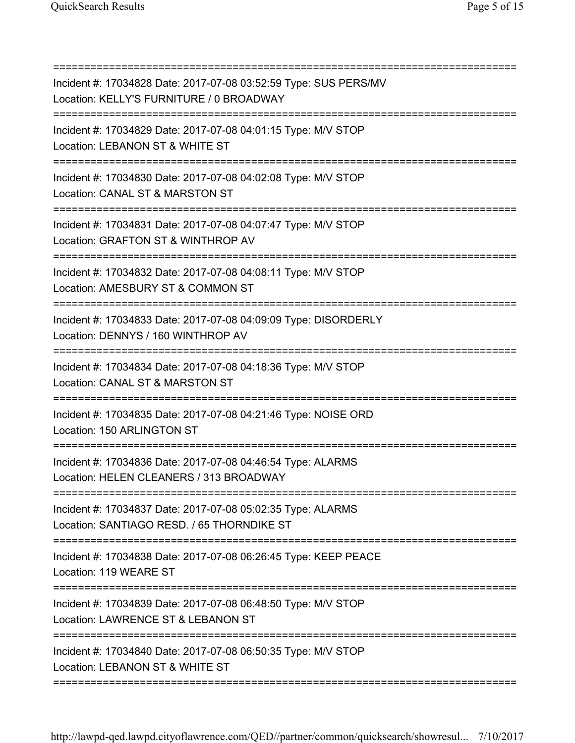| Incident #: 17034828 Date: 2017-07-08 03:52:59 Type: SUS PERS/MV<br>Location: KELLY'S FURNITURE / 0 BROADWAY<br>====================================== |
|--------------------------------------------------------------------------------------------------------------------------------------------------------|
| Incident #: 17034829 Date: 2017-07-08 04:01:15 Type: M/V STOP<br>Location: LEBANON ST & WHITE ST<br>=====================================              |
| Incident #: 17034830 Date: 2017-07-08 04:02:08 Type: M/V STOP<br>Location: CANAL ST & MARSTON ST                                                       |
| Incident #: 17034831 Date: 2017-07-08 04:07:47 Type: M/V STOP<br>Location: GRAFTON ST & WINTHROP AV                                                    |
| Incident #: 17034832 Date: 2017-07-08 04:08:11 Type: M/V STOP<br>Location: AMESBURY ST & COMMON ST                                                     |
| Incident #: 17034833 Date: 2017-07-08 04:09:09 Type: DISORDERLY<br>Location: DENNYS / 160 WINTHROP AV                                                  |
| =========================<br>Incident #: 17034834 Date: 2017-07-08 04:18:36 Type: M/V STOP<br>Location: CANAL ST & MARSTON ST                          |
| Incident #: 17034835 Date: 2017-07-08 04:21:46 Type: NOISE ORD<br>Location: 150 ARLINGTON ST                                                           |
| Incident #: 17034836 Date: 2017-07-08 04:46:54 Type: ALARMS<br>Location: HELEN CLEANERS / 313 BROADWAY                                                 |
| Incident #: 17034837 Date: 2017-07-08 05:02:35 Type: ALARMS<br>Location: SANTIAGO RESD. / 65 THORNDIKE ST                                              |
| :=======================<br>Incident #: 17034838 Date: 2017-07-08 06:26:45 Type: KEEP PEACE<br>Location: 119 WEARE ST                                  |
| Incident #: 17034839 Date: 2017-07-08 06:48:50 Type: M/V STOP<br>Location: LAWRENCE ST & LEBANON ST                                                    |
| Incident #: 17034840 Date: 2017-07-08 06:50:35 Type: M/V STOP<br>Location: LEBANON ST & WHITE ST                                                       |

===========================================================================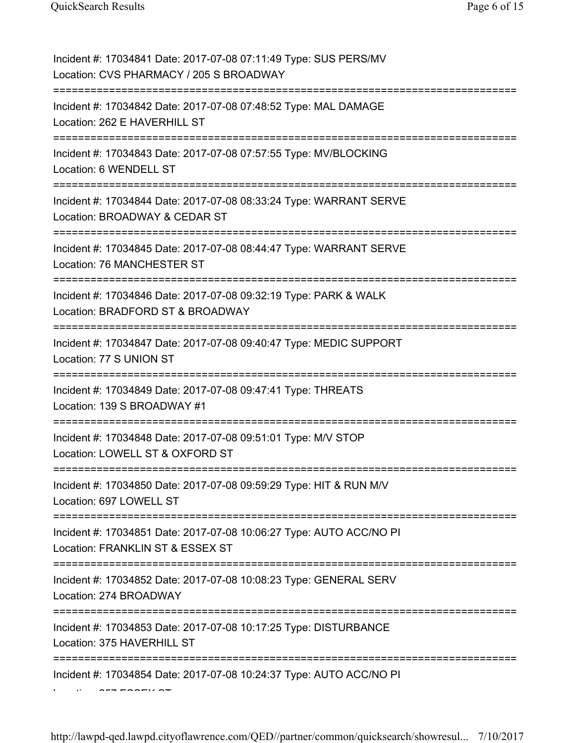| Incident #: 17034841 Date: 2017-07-08 07:11:49 Type: SUS PERS/MV<br>Location: CVS PHARMACY / 205 S BROADWAY                    |
|--------------------------------------------------------------------------------------------------------------------------------|
| Incident #: 17034842 Date: 2017-07-08 07:48:52 Type: MAL DAMAGE<br>Location: 262 E HAVERHILL ST                                |
| Incident #: 17034843 Date: 2017-07-08 07:57:55 Type: MV/BLOCKING<br>Location: 6 WENDELL ST                                     |
| Incident #: 17034844 Date: 2017-07-08 08:33:24 Type: WARRANT SERVE<br>Location: BROADWAY & CEDAR ST                            |
| Incident #: 17034845 Date: 2017-07-08 08:44:47 Type: WARRANT SERVE<br>Location: 76 MANCHESTER ST                               |
| Incident #: 17034846 Date: 2017-07-08 09:32:19 Type: PARK & WALK<br>Location: BRADFORD ST & BROADWAY                           |
| Incident #: 17034847 Date: 2017-07-08 09:40:47 Type: MEDIC SUPPORT<br>Location: 77 S UNION ST                                  |
| Incident #: 17034849 Date: 2017-07-08 09:47:41 Type: THREATS<br>Location: 139 S BROADWAY #1<br>=============================== |
| Incident #: 17034848 Date: 2017-07-08 09:51:01 Type: M/V STOP<br>Location: LOWELL ST & OXFORD ST                               |
| Incident #: 17034850 Date: 2017-07-08 09:59:29 Type: HIT & RUN M/V<br>Location: 697 LOWELL ST                                  |
| Incident #: 17034851 Date: 2017-07-08 10:06:27 Type: AUTO ACC/NO PI<br>Location: FRANKLIN ST & ESSEX ST                        |
| Incident #: 17034852 Date: 2017-07-08 10:08:23 Type: GENERAL SERV<br>Location: 274 BROADWAY                                    |
| Incident #: 17034853 Date: 2017-07-08 10:17:25 Type: DISTURBANCE<br>Location: 375 HAVERHILL ST                                 |
| Incident #: 17034854 Date: 2017-07-08 10:24:37 Type: AUTO ACC/NO PI                                                            |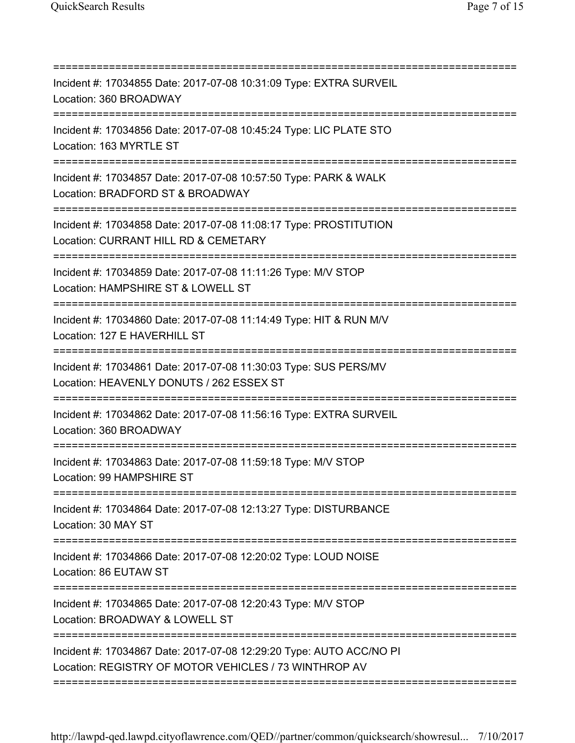| Incident #: 17034855 Date: 2017-07-08 10:31:09 Type: EXTRA SURVEIL<br>Location: 360 BROADWAY<br>===============================                                                |
|--------------------------------------------------------------------------------------------------------------------------------------------------------------------------------|
| Incident #: 17034856 Date: 2017-07-08 10:45:24 Type: LIC PLATE STO<br>Location: 163 MYRTLE ST<br>;===================================<br>------------------------              |
| Incident #: 17034857 Date: 2017-07-08 10:57:50 Type: PARK & WALK<br>Location: BRADFORD ST & BROADWAY                                                                           |
| Incident #: 17034858 Date: 2017-07-08 11:08:17 Type: PROSTITUTION<br>Location: CURRANT HILL RD & CEMETARY                                                                      |
| Incident #: 17034859 Date: 2017-07-08 11:11:26 Type: M/V STOP<br>Location: HAMPSHIRE ST & LOWELL ST                                                                            |
| Incident #: 17034860 Date: 2017-07-08 11:14:49 Type: HIT & RUN M/V<br>Location: 127 E HAVERHILL ST                                                                             |
| Incident #: 17034861 Date: 2017-07-08 11:30:03 Type: SUS PERS/MV<br>Location: HEAVENLY DONUTS / 262 ESSEX ST                                                                   |
| Incident #: 17034862 Date: 2017-07-08 11:56:16 Type: EXTRA SURVEIL<br>Location: 360 BROADWAY                                                                                   |
| Incident #: 17034863 Date: 2017-07-08 11:59:18 Type: M/V STOP<br>Location: 99 HAMPSHIRE ST                                                                                     |
| ==========================<br>Incident #: 17034864 Date: 2017-07-08 12:13:27 Type: DISTURBANCE<br>Location: 30 MAY ST                                                          |
| Incident #: 17034866 Date: 2017-07-08 12:20:02 Type: LOUD NOISE<br>Location: 86 EUTAW ST                                                                                       |
| Incident #: 17034865 Date: 2017-07-08 12:20:43 Type: M/V STOP<br>Location: BROADWAY & LOWELL ST                                                                                |
| :=======================<br>,,,,,,,,,,,,,,,,,,<br>Incident #: 17034867 Date: 2017-07-08 12:29:20 Type: AUTO ACC/NO PI<br>Location: REGISTRY OF MOTOR VEHICLES / 73 WINTHROP AV |
|                                                                                                                                                                                |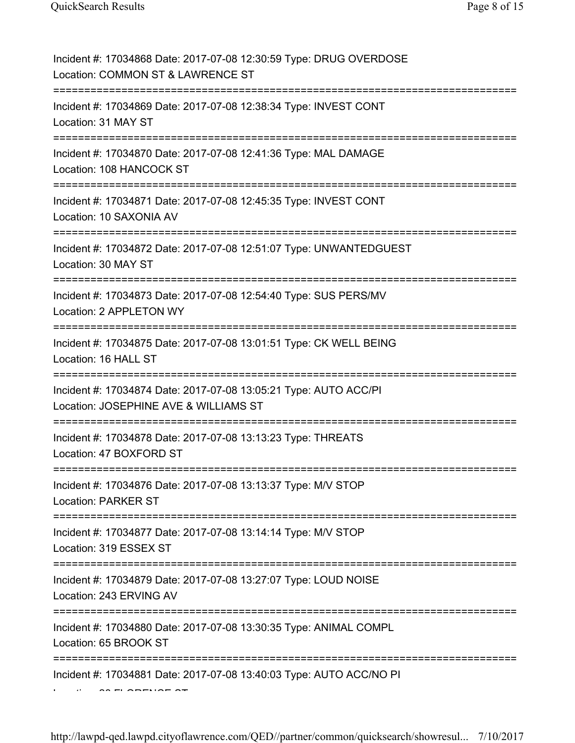| Incident #: 17034868 Date: 2017-07-08 12:30:59 Type: DRUG OVERDOSE<br>Location: COMMON ST & LAWRENCE ST   |
|-----------------------------------------------------------------------------------------------------------|
| Incident #: 17034869 Date: 2017-07-08 12:38:34 Type: INVEST CONT<br>Location: 31 MAY ST                   |
| Incident #: 17034870 Date: 2017-07-08 12:41:36 Type: MAL DAMAGE<br>Location: 108 HANCOCK ST               |
| Incident #: 17034871 Date: 2017-07-08 12:45:35 Type: INVEST CONT<br>Location: 10 SAXONIA AV               |
| Incident #: 17034872 Date: 2017-07-08 12:51:07 Type: UNWANTEDGUEST<br>Location: 30 MAY ST                 |
| Incident #: 17034873 Date: 2017-07-08 12:54:40 Type: SUS PERS/MV<br>Location: 2 APPLETON WY               |
| Incident #: 17034875 Date: 2017-07-08 13:01:51 Type: CK WELL BEING<br>Location: 16 HALL ST                |
| Incident #: 17034874 Date: 2017-07-08 13:05:21 Type: AUTO ACC/PI<br>Location: JOSEPHINE AVE & WILLIAMS ST |
| Incident #: 17034878 Date: 2017-07-08 13:13:23 Type: THREATS<br>Location: 47 BOXFORD ST                   |
| Incident #: 17034876 Date: 2017-07-08 13:13:37 Type: M/V STOP<br><b>Location: PARKER ST</b>               |
| Incident #: 17034877 Date: 2017-07-08 13:14:14 Type: M/V STOP<br>Location: 319 ESSEX ST                   |
| Incident #: 17034879 Date: 2017-07-08 13:27:07 Type: LOUD NOISE<br>Location: 243 ERVING AV                |
| Incident #: 17034880 Date: 2017-07-08 13:30:35 Type: ANIMAL COMPL<br>Location: 65 BROOK ST                |
| Incident #: 17034881 Date: 2017-07-08 13:40:03 Type: AUTO ACC/NO PI                                       |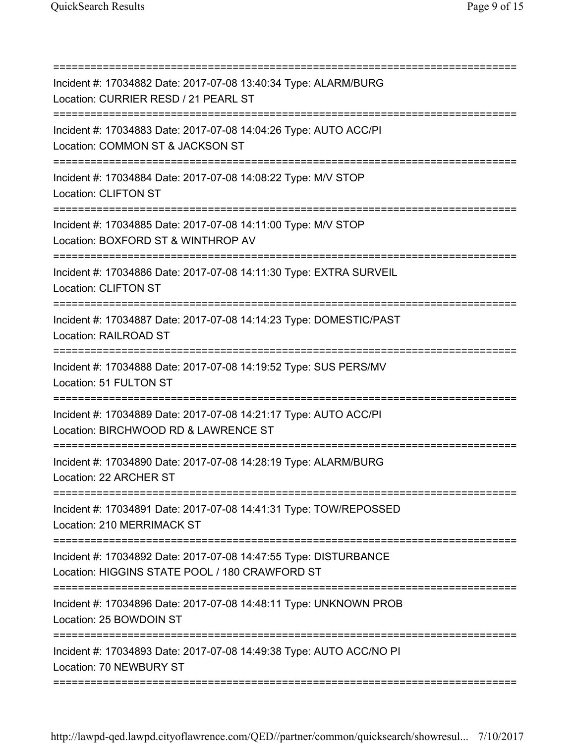| Incident #: 17034882 Date: 2017-07-08 13:40:34 Type: ALARM/BURG<br>Location: CURRIER RESD / 21 PEARL ST<br>========================    |
|----------------------------------------------------------------------------------------------------------------------------------------|
| Incident #: 17034883 Date: 2017-07-08 14:04:26 Type: AUTO ACC/PI<br>Location: COMMON ST & JACKSON ST                                   |
| Incident #: 17034884 Date: 2017-07-08 14:08:22 Type: M/V STOP<br><b>Location: CLIFTON ST</b><br>:========================              |
| Incident #: 17034885 Date: 2017-07-08 14:11:00 Type: M/V STOP<br>Location: BOXFORD ST & WINTHROP AV                                    |
| Incident #: 17034886 Date: 2017-07-08 14:11:30 Type: EXTRA SURVEIL<br>Location: CLIFTON ST                                             |
| Incident #: 17034887 Date: 2017-07-08 14:14:23 Type: DOMESTIC/PAST<br>Location: RAILROAD ST                                            |
| Incident #: 17034888 Date: 2017-07-08 14:19:52 Type: SUS PERS/MV<br>Location: 51 FULTON ST                                             |
| ==========================<br>Incident #: 17034889 Date: 2017-07-08 14:21:17 Type: AUTO ACC/PI<br>Location: BIRCHWOOD RD & LAWRENCE ST |
| Incident #: 17034890 Date: 2017-07-08 14:28:19 Type: ALARM/BURG<br>Location: 22 ARCHER ST                                              |
| Incident #: 17034891 Date: 2017-07-08 14:41:31 Type: TOW/REPOSSED<br>Location: 210 MERRIMACK ST                                        |
| ===========<br>Incident #: 17034892 Date: 2017-07-08 14:47:55 Type: DISTURBANCE<br>Location: HIGGINS STATE POOL / 180 CRAWFORD ST      |
| Incident #: 17034896 Date: 2017-07-08 14:48:11 Type: UNKNOWN PROB<br>Location: 25 BOWDOIN ST                                           |
| Incident #: 17034893 Date: 2017-07-08 14:49:38 Type: AUTO ACC/NO PI<br>Location: 70 NEWBURY ST                                         |
|                                                                                                                                        |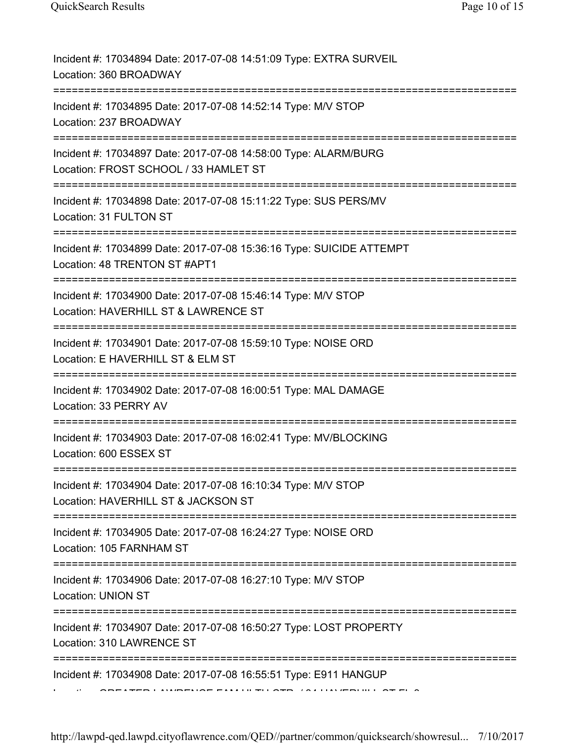| Incident #: 17034894 Date: 2017-07-08 14:51:09 Type: EXTRA SURVEIL<br>Location: 360 BROADWAY                                           |
|----------------------------------------------------------------------------------------------------------------------------------------|
| Incident #: 17034895 Date: 2017-07-08 14:52:14 Type: M/V STOP<br>Location: 237 BROADWAY                                                |
| Incident #: 17034897 Date: 2017-07-08 14:58:00 Type: ALARM/BURG<br>Location: FROST SCHOOL / 33 HAMLET ST                               |
| Incident #: 17034898 Date: 2017-07-08 15:11:22 Type: SUS PERS/MV<br>Location: 31 FULTON ST                                             |
| Incident #: 17034899 Date: 2017-07-08 15:36:16 Type: SUICIDE ATTEMPT<br>Location: 48 TRENTON ST #APT1                                  |
| Incident #: 17034900 Date: 2017-07-08 15:46:14 Type: M/V STOP<br>Location: HAVERHILL ST & LAWRENCE ST                                  |
| Incident #: 17034901 Date: 2017-07-08 15:59:10 Type: NOISE ORD<br>Location: E HAVERHILL ST & ELM ST                                    |
| Incident #: 17034902 Date: 2017-07-08 16:00:51 Type: MAL DAMAGE<br>Location: 33 PERRY AV                                               |
| Incident #: 17034903 Date: 2017-07-08 16:02:41 Type: MV/BLOCKING<br>Location: 600 ESSEX ST                                             |
| Incident #: 17034904 Date: 2017-07-08 16:10:34 Type: M/V STOP<br>Location: HAVERHILL ST & JACKSON ST                                   |
| Incident #: 17034905 Date: 2017-07-08 16:24:27 Type: NOISE ORD<br>Location: 105 FARNHAM ST                                             |
| Incident #: 17034906 Date: 2017-07-08 16:27:10 Type: M/V STOP<br>Location: UNION ST                                                    |
| :==================================<br>Incident #: 17034907 Date: 2017-07-08 16:50:27 Type: LOST PROPERTY<br>Location: 310 LAWRENCE ST |
| Incident #: 17034908 Date: 2017-07-08 16:55:51 Type: E911 HANGUP                                                                       |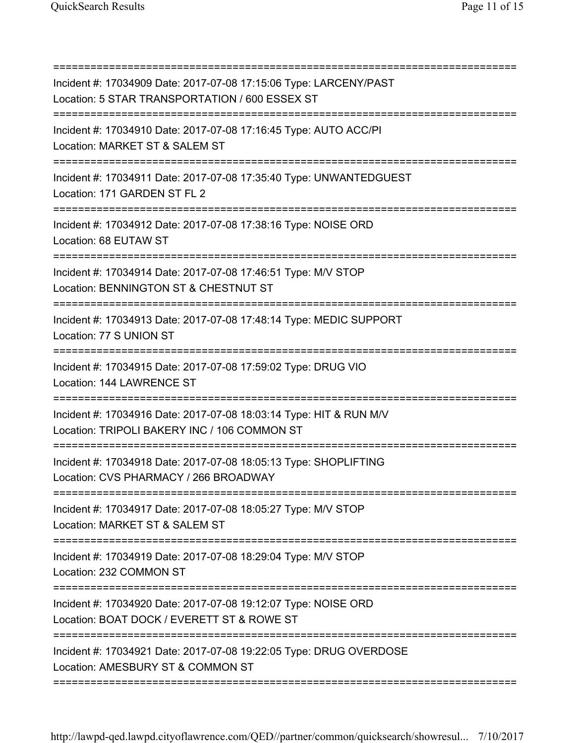| Incident #: 17034909 Date: 2017-07-08 17:15:06 Type: LARCENY/PAST<br>Location: 5 STAR TRANSPORTATION / 600 ESSEX ST<br>=================================== |
|------------------------------------------------------------------------------------------------------------------------------------------------------------|
| Incident #: 17034910 Date: 2017-07-08 17:16:45 Type: AUTO ACC/PI<br>Location: MARKET ST & SALEM ST                                                         |
| Incident #: 17034911 Date: 2017-07-08 17:35:40 Type: UNWANTEDGUEST<br>Location: 171 GARDEN ST FL 2                                                         |
| Incident #: 17034912 Date: 2017-07-08 17:38:16 Type: NOISE ORD<br>Location: 68 EUTAW ST                                                                    |
| Incident #: 17034914 Date: 2017-07-08 17:46:51 Type: M/V STOP<br>Location: BENNINGTON ST & CHESTNUT ST                                                     |
| Incident #: 17034913 Date: 2017-07-08 17:48:14 Type: MEDIC SUPPORT<br>Location: 77 S UNION ST                                                              |
| Incident #: 17034915 Date: 2017-07-08 17:59:02 Type: DRUG VIO<br>Location: 144 LAWRENCE ST                                                                 |
| Incident #: 17034916 Date: 2017-07-08 18:03:14 Type: HIT & RUN M/V<br>Location: TRIPOLI BAKERY INC / 106 COMMON ST                                         |
| Incident #: 17034918 Date: 2017-07-08 18:05:13 Type: SHOPLIFTING<br>Location: CVS PHARMACY / 266 BROADWAY<br>===================================           |
| Incident #: 17034917 Date: 2017-07-08 18:05:27 Type: M/V STOP<br>Location: MARKET ST & SALEM ST                                                            |
| Incident #: 17034919 Date: 2017-07-08 18:29:04 Type: M/V STOP<br>Location: 232 COMMON ST                                                                   |
| Incident #: 17034920 Date: 2017-07-08 19:12:07 Type: NOISE ORD<br>Location: BOAT DOCK / EVERETT ST & ROWE ST                                               |
| Incident #: 17034921 Date: 2017-07-08 19:22:05 Type: DRUG OVERDOSE<br>Location: AMESBURY ST & COMMON ST                                                    |
|                                                                                                                                                            |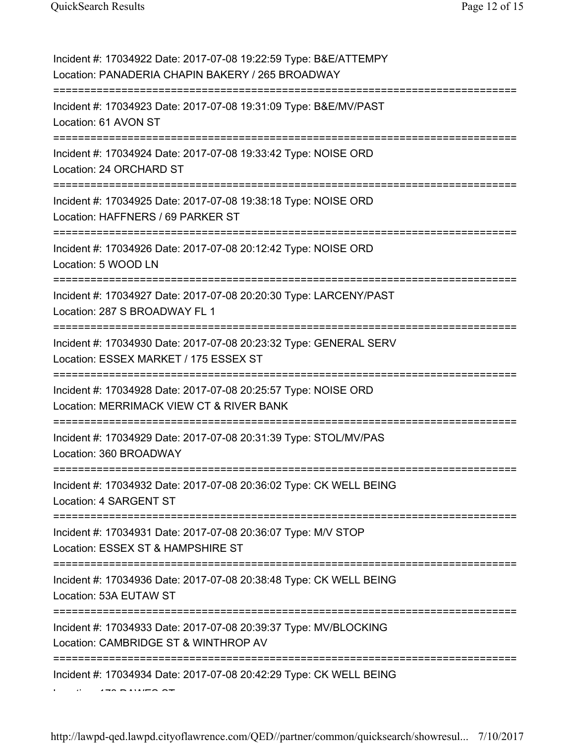| Incident #: 17034922 Date: 2017-07-08 19:22:59 Type: B&E/ATTEMPY<br>Location: PANADERIA CHAPIN BAKERY / 265 BROADWAY |
|----------------------------------------------------------------------------------------------------------------------|
| Incident #: 17034923 Date: 2017-07-08 19:31:09 Type: B&E/MV/PAST<br>Location: 61 AVON ST                             |
| Incident #: 17034924 Date: 2017-07-08 19:33:42 Type: NOISE ORD<br>Location: 24 ORCHARD ST                            |
| Incident #: 17034925 Date: 2017-07-08 19:38:18 Type: NOISE ORD<br>Location: HAFFNERS / 69 PARKER ST                  |
| Incident #: 17034926 Date: 2017-07-08 20:12:42 Type: NOISE ORD<br>Location: 5 WOOD LN                                |
| Incident #: 17034927 Date: 2017-07-08 20:20:30 Type: LARCENY/PAST<br>Location: 287 S BROADWAY FL 1                   |
| Incident #: 17034930 Date: 2017-07-08 20:23:32 Type: GENERAL SERV<br>Location: ESSEX MARKET / 175 ESSEX ST           |
| Incident #: 17034928 Date: 2017-07-08 20:25:57 Type: NOISE ORD<br>Location: MERRIMACK VIEW CT & RIVER BANK           |
| Incident #: 17034929 Date: 2017-07-08 20:31:39 Type: STOL/MV/PAS<br>Location: 360 BROADWAY                           |
| Incident #: 17034932 Date: 2017-07-08 20:36:02 Type: CK WELL BEING<br>Location: 4 SARGENT ST                         |
| Incident #: 17034931 Date: 2017-07-08 20:36:07 Type: M/V STOP<br>Location: ESSEX ST & HAMPSHIRE ST                   |
| Incident #: 17034936 Date: 2017-07-08 20:38:48 Type: CK WELL BEING<br>Location: 53A EUTAW ST                         |
| Incident #: 17034933 Date: 2017-07-08 20:39:37 Type: MV/BLOCKING<br>Location: CAMBRIDGE ST & WINTHROP AV             |
| Incident #: 17034934 Date: 2017-07-08 20:42:29 Type: CK WELL BEING                                                   |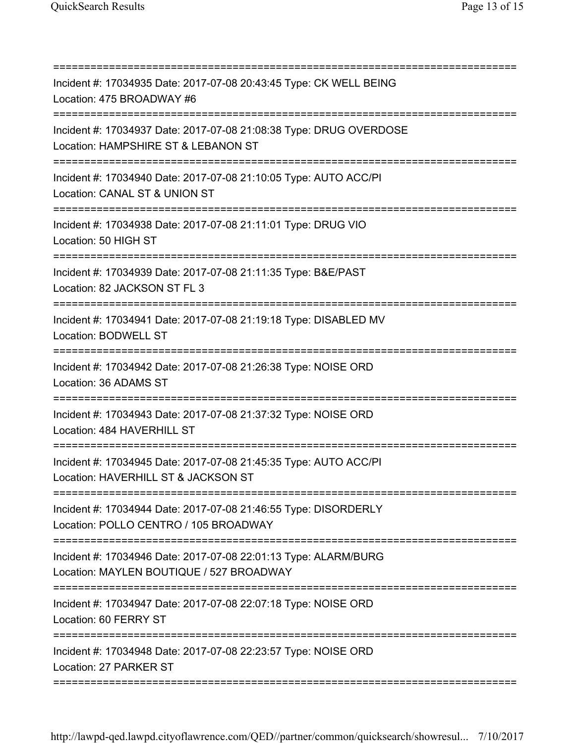| Incident #: 17034935 Date: 2017-07-08 20:43:45 Type: CK WELL BEING<br>Location: 475 BROADWAY #6<br>.====================================         |
|--------------------------------------------------------------------------------------------------------------------------------------------------|
| Incident #: 17034937 Date: 2017-07-08 21:08:38 Type: DRUG OVERDOSE<br>Location: HAMPSHIRE ST & LEBANON ST<br>=================================== |
| Incident #: 17034940 Date: 2017-07-08 21:10:05 Type: AUTO ACC/PI<br>Location: CANAL ST & UNION ST                                                |
| Incident #: 17034938 Date: 2017-07-08 21:11:01 Type: DRUG VIO<br>Location: 50 HIGH ST                                                            |
| Incident #: 17034939 Date: 2017-07-08 21:11:35 Type: B&E/PAST<br>Location: 82 JACKSON ST FL 3                                                    |
| Incident #: 17034941 Date: 2017-07-08 21:19:18 Type: DISABLED MV<br>Location: BODWELL ST                                                         |
| Incident #: 17034942 Date: 2017-07-08 21:26:38 Type: NOISE ORD<br>Location: 36 ADAMS ST                                                          |
| Incident #: 17034943 Date: 2017-07-08 21:37:32 Type: NOISE ORD<br>Location: 484 HAVERHILL ST                                                     |
| Incident #: 17034945 Date: 2017-07-08 21:45:35 Type: AUTO ACC/PI<br>Location: HAVERHILL ST & JACKSON ST                                          |
| Incident #: 17034944 Date: 2017-07-08 21:46:55 Type: DISORDERLY<br>Location: POLLO CENTRO / 105 BROADWAY                                         |
| Incident #: 17034946 Date: 2017-07-08 22:01:13 Type: ALARM/BURG<br>Location: MAYLEN BOUTIQUE / 527 BROADWAY                                      |
| Incident #: 17034947 Date: 2017-07-08 22:07:18 Type: NOISE ORD<br>Location: 60 FERRY ST                                                          |
| Incident #: 17034948 Date: 2017-07-08 22:23:57 Type: NOISE ORD<br>Location: 27 PARKER ST                                                         |
|                                                                                                                                                  |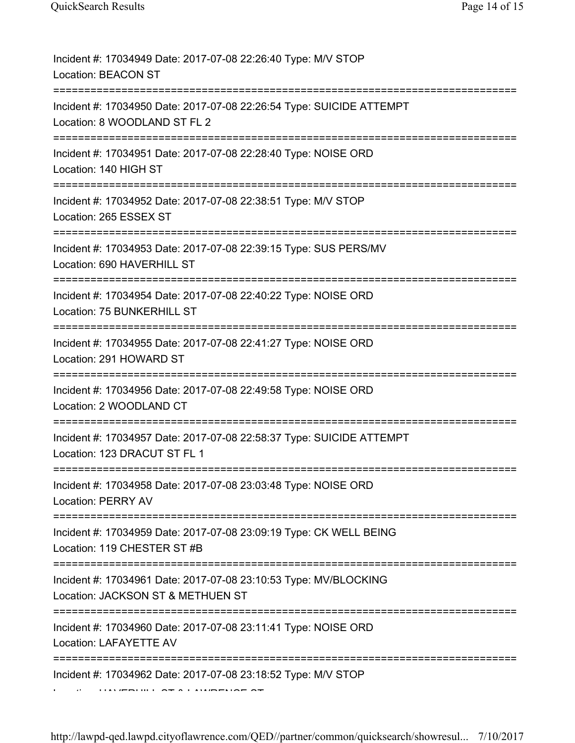| Incident #: 17034949 Date: 2017-07-08 22:26:40 Type: M/V STOP<br><b>Location: BEACON ST</b>                                        |
|------------------------------------------------------------------------------------------------------------------------------------|
| Incident #: 17034950 Date: 2017-07-08 22:26:54 Type: SUICIDE ATTEMPT<br>Location: 8 WOODLAND ST FL 2                               |
| Incident #: 17034951 Date: 2017-07-08 22:28:40 Type: NOISE ORD<br>Location: 140 HIGH ST                                            |
| Incident #: 17034952 Date: 2017-07-08 22:38:51 Type: M/V STOP<br>Location: 265 ESSEX ST                                            |
| Incident #: 17034953 Date: 2017-07-08 22:39:15 Type: SUS PERS/MV<br>Location: 690 HAVERHILL ST                                     |
| Incident #: 17034954 Date: 2017-07-08 22:40:22 Type: NOISE ORD<br>Location: 75 BUNKERHILL ST                                       |
| Incident #: 17034955 Date: 2017-07-08 22:41:27 Type: NOISE ORD<br>Location: 291 HOWARD ST                                          |
| Incident #: 17034956 Date: 2017-07-08 22:49:58 Type: NOISE ORD<br>Location: 2 WOODLAND CT                                          |
| Incident #: 17034957 Date: 2017-07-08 22:58:37 Type: SUICIDE ATTEMPT<br>Location: 123 DRACUT ST FL 1                               |
| Incident #: 17034958 Date: 2017-07-08 23:03:48 Type: NOISE ORD<br><b>Location: PERRY AV</b><br>===========                         |
| Incident #: 17034959 Date: 2017-07-08 23:09:19 Type: CK WELL BEING<br>Location: 119 CHESTER ST #B                                  |
| Incident #: 17034961 Date: 2017-07-08 23:10:53 Type: MV/BLOCKING<br>Location: JACKSON ST & METHUEN ST<br>------------------------- |
| Incident #: 17034960 Date: 2017-07-08 23:11:41 Type: NOISE ORD<br>Location: LAFAYETTE AV                                           |
| Incident #: 17034962 Date: 2017-07-08 23:18:52 Type: M/V STOP                                                                      |